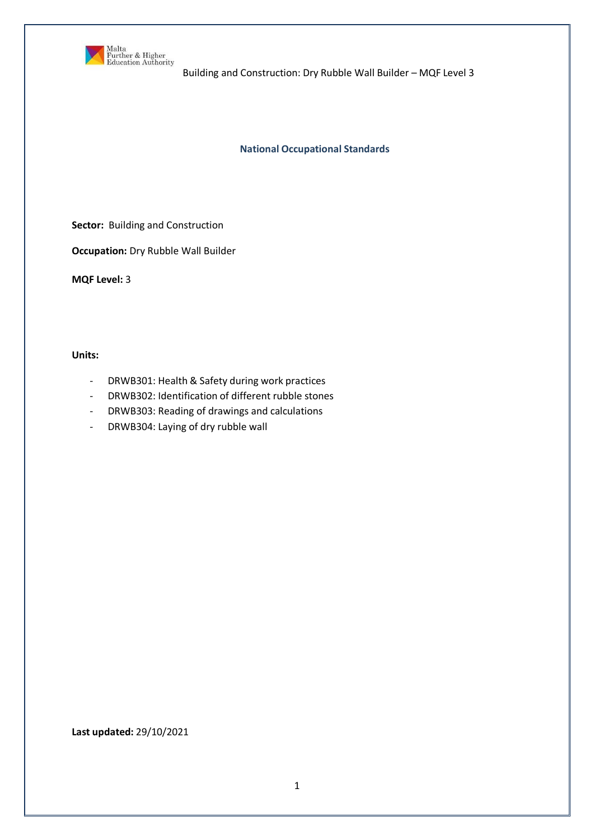

**National Occupational Standards**

**Sector:** Building and Construction

**Occupation:** Dry Rubble Wall Builder

**MQF Level:** 3

**Units:**

- DRWB301: Health & Safety during work practices
- DRWB302: Identification of different rubble stones
- DRWB303: Reading of drawings and calculations
- DRWB304: Laying of dry rubble wall

**Last updated:** 29/10/2021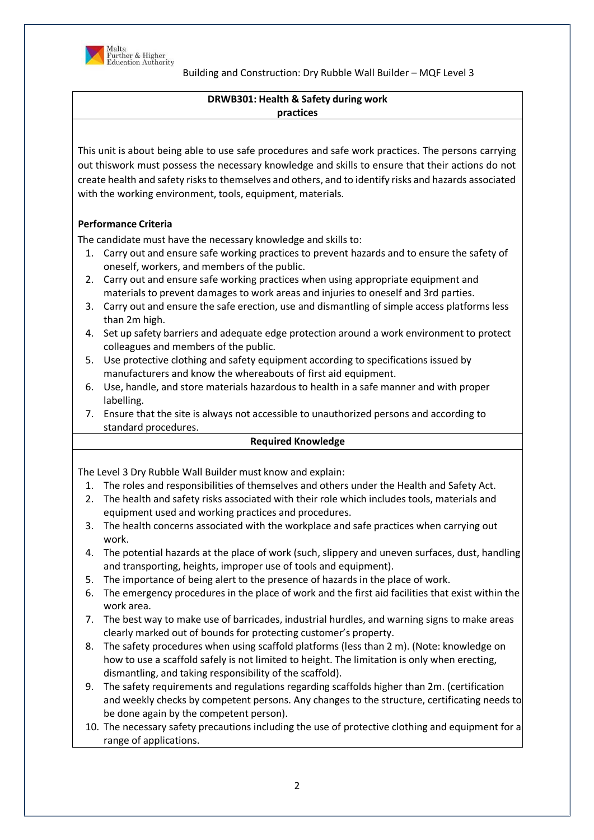

## **DRWB301: Health & Safety during work practices**

This unit is about being able to use safe procedures and safe work practices. The persons carrying out thiswork must possess the necessary knowledge and skills to ensure that their actions do not create health and safety risks to themselves and others, and to identify risks and hazards associated with the working environment, tools, equipment, materials.

# **Performance Criteria**

The candidate must have the necessary knowledge and skills to:

- 1. Carry out and ensure safe working practices to prevent hazards and to ensure the safety of oneself, workers, and members of the public.
- 2. Carry out and ensure safe working practices when using appropriate equipment and materials to prevent damages to work areas and injuries to oneself and 3rd parties.
- 3. Carry out and ensure the safe erection, use and dismantling of simple access platforms less than 2m high.
- 4. Set up safety barriers and adequate edge protection around a work environment to protect colleagues and members of the public.
- 5. Use protective clothing and safety equipment according to specifications issued by manufacturers and know the whereabouts of first aid equipment.
- 6. Use, handle, and store materials hazardous to health in a safe manner and with proper labelling.
- 7. Ensure that the site is always not accessible to unauthorized persons and according to standard procedures.

## **Required Knowledge**

The Level 3 Dry Rubble Wall Builder must know and explain:

- 1. The roles and responsibilities of themselves and others under the Health and Safety Act.
- 2. The health and safety risks associated with their role which includes tools, materials and equipment used and working practices and procedures.
- 3. The health concerns associated with the workplace and safe practices when carrying out work.
- 4. The potential hazards at the place of work (such, slippery and uneven surfaces, dust, handling and transporting, heights, improper use of tools and equipment).
- 5. The importance of being alert to the presence of hazards in the place of work.
- 6. The emergency procedures in the place of work and the first aid facilities that exist within the work area.
- 7. The best way to make use of barricades, industrial hurdles, and warning signs to make areas clearly marked out of bounds for protecting customer's property.
- 8. The safety procedures when using scaffold platforms (less than 2 m). (Note: knowledge on how to use a scaffold safely is not limited to height. The limitation is only when erecting, dismantling, and taking responsibility of the scaffold).
- 9. The safety requirements and regulations regarding scaffolds higher than 2m. (certification and weekly checks by competent persons. Any changes to the structure, certificating needs to be done again by the competent person).
- 10. The necessary safety precautions including the use of protective clothing and equipment for a range of applications.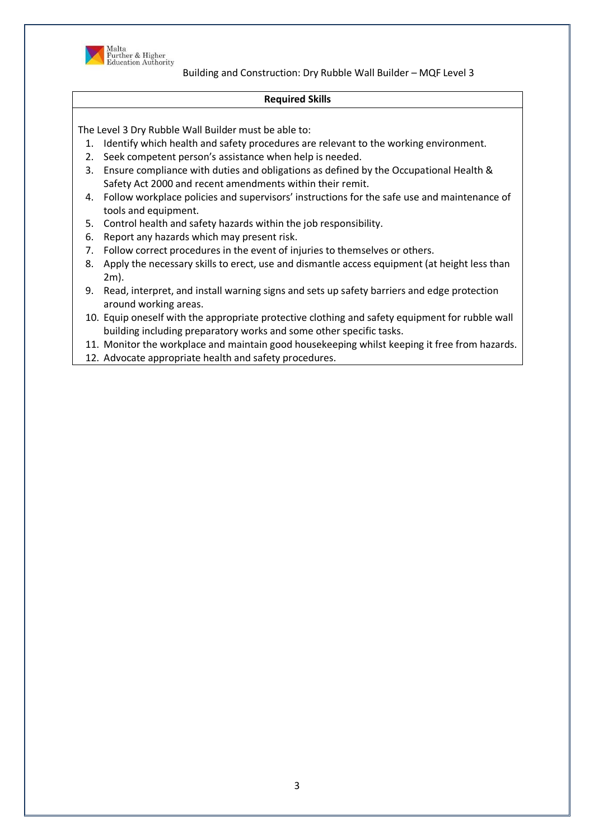

#### **Required Skills**

- 1. Identify which health and safety procedures are relevant to the working environment.
- 2. Seek competent person's assistance when help is needed.
- 3. Ensure compliance with duties and obligations as defined by the Occupational Health & Safety Act 2000 and recent amendments within their remit.
- 4. Follow workplace policies and supervisors' instructions for the safe use and maintenance of tools and equipment.
- 5. Control health and safety hazards within the job responsibility.
- 6. Report any hazards which may present risk.
- 7. Follow correct procedures in the event of injuries to themselves or others.
- 8. Apply the necessary skills to erect, use and dismantle access equipment (at height less than 2m).
- 9. Read, interpret, and install warning signs and sets up safety barriers and edge protection around working areas.
- 10. Equip oneself with the appropriate protective clothing and safety equipment for rubble wall building including preparatory works and some other specific tasks.
- 11. Monitor the workplace and maintain good housekeeping whilst keeping it free from hazards.
- 12. Advocate appropriate health and safety procedures.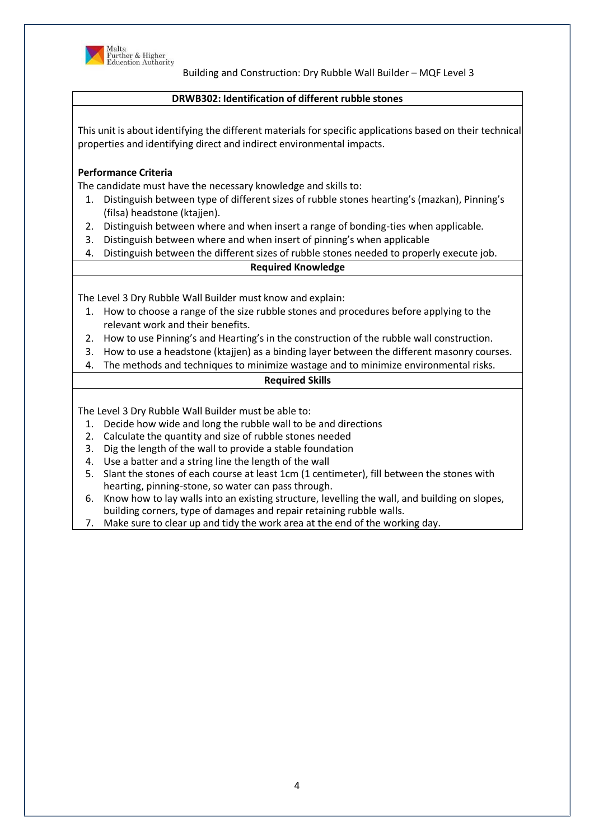

### **DRWB302: Identification of different rubble stones**

This unit is about identifying the different materials forspecific applications based on their technical properties and identifying direct and indirect environmental impacts.

### **Performance Criteria**

The candidate must have the necessary knowledge and skills to:

- 1. Distinguish between type of different sizes of rubble stones hearting's (mazkan), Pinning's (filsa) headstone (ktajjen).
- 2. Distinguish between where and when insert a range of bonding-ties when applicable.
- 3. Distinguish between where and when insert of pinning's when applicable
- 4. Distinguish between the different sizes of rubble stones needed to properly execute job.

### **Required Knowledge**

The Level 3 Dry Rubble Wall Builder must know and explain:

- 1. How to choose a range of the size rubble stones and procedures before applying to the relevant work and their benefits.
- 2. How to use Pinning's and Hearting's in the construction of the rubble wall construction.
- 3. How to use a headstone (ktajjen) as a binding layer between the different masonry courses.
- 4. The methods and techniques to minimize wastage and to minimize environmental risks.

#### **Required Skills**

- 1. Decide how wide and long the rubble wall to be and directions
- 2. Calculate the quantity and size of rubble stones needed
- 3. Dig the length of the wall to provide a stable foundation
- 4. Use a batter and a string line the length of the wall
- 5. Slant the stones of each course at least 1cm (1 centimeter), fill between the stones with hearting, pinning-stone, so water can pass through.
- 6. Know how to lay walls into an existing structure, levelling the wall, and building on slopes, building corners, type of damages and repair retaining rubble walls.
- 7. Make sure to clear up and tidy the work area at the end of the working day.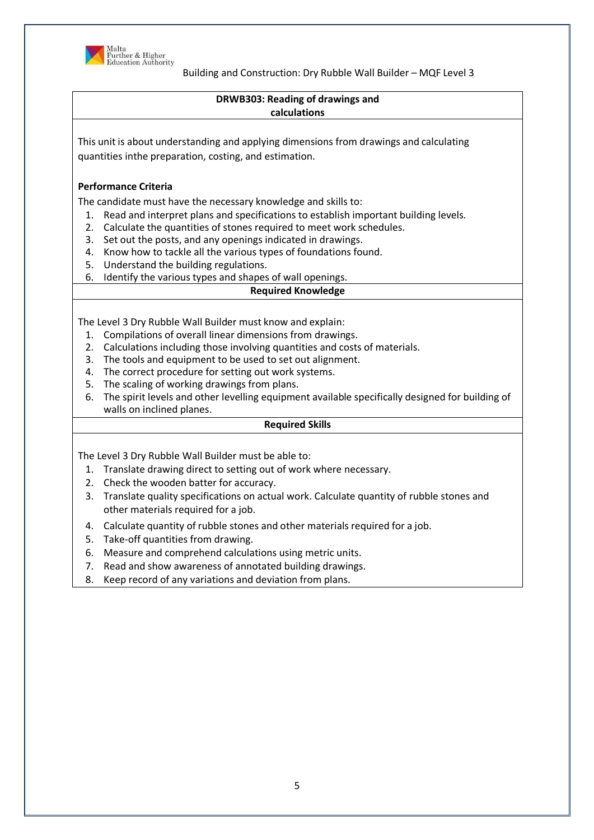

### **DRWB303: Reading of drawings and calculations**

This unit is about understanding and applying dimensions from drawings and calculating quantities inthe preparation, costing, and estimation.

## **Performance Criteria**

The candidate must have the necessary knowledge and skills to:

- 1. Read and interpret plans and specifications to establish important building levels.
- 2. Calculate the quantities of stones required to meet work schedules.
- 3. Set out the posts, and any openings indicated in drawings.
- 4. Know how to tackle all the various types of foundations found.
- 5. Understand the building regulations.
- 6. Identify the various types and shapes of wall openings.

## **Required Knowledge**

The Level 3 Dry Rubble Wall Builder must know and explain:

- 1. Compilations of overall linear dimensions from drawings.
- 2. Calculations including those involving quantities and costs of materials.
- 3. The tools and equipment to be used to set out alignment.
- 4. The correct procedure for setting out work systems.
- 5. The scaling of working drawings from plans.
- 6. The spirit levels and other levelling equipment available specifically designed for building of walls on inclined planes.

### **Required Skills**

- 1. Translate drawing direct to setting out of work where necessary.
- 2. Check the wooden batter for accuracy.
- 3. Translate quality specifications on actual work. Calculate quantity of rubble stones and other materials required for a job.
- 4. Calculate quantity of rubble stones and other materials required for a job.
- 5. Take-off quantities from drawing.
- 6. Measure and comprehend calculations using metric units.
- 7. Read and show awareness of annotated building drawings.
- 8. Keep record of any variations and deviation from plans.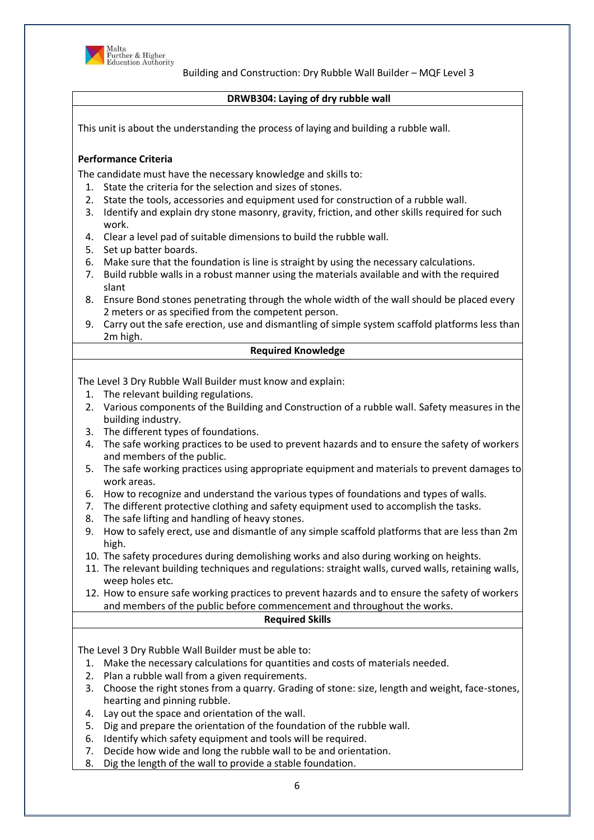

### **DRWB304: Laying of dry rubble wall**

This unit is about the understanding the process of laying and building a rubble wall.

### **Performance Criteria**

The candidate must have the necessary knowledge and skills to:

- 1. State the criteria for the selection and sizes of stones.
- 2. State the tools, accessories and equipment used for construction of a rubble wall.
- 3. Identify and explain dry stone masonry, gravity, friction, and other skills required for such work.
- 4. Clear a level pad of suitable dimensions to build the rubble wall.
- 5. Set up batter boards.
- 6. Make sure that the foundation is line is straight by using the necessary calculations.
- 7. Build rubble walls in a robust manner using the materials available and with the required slant
- 8. Ensure Bond stones penetrating through the whole width of the wall should be placed every 2 meters or as specified from the competent person.
- 9. Carry out the safe erection, use and dismantling of simple system scaffold platforms less than 2m high.

### **Required Knowledge**

The Level 3 Dry Rubble Wall Builder must know and explain:

- 1. The relevant building regulations.
- 2. Various components of the Building and Construction of a rubble wall. Safety measures in the building industry.
- 3. The different types of foundations.
- 4. The safe working practices to be used to prevent hazards and to ensure the safety of workers and members of the public.
- 5. The safe working practices using appropriate equipment and materials to prevent damages to work areas.
- 6. How to recognize and understand the various types of foundations and types of walls.
- 7. The different protective clothing and safety equipment used to accomplish the tasks.
- 8. The safe lifting and handling of heavy stones.
- 9. How to safely erect, use and dismantle of any simple scaffold platforms that are less than 2m high.
- 10. The safety procedures during demolishing works and also during working on heights.
- 11. The relevant building techniques and regulations: straight walls, curved walls, retaining walls, weep holes etc.

12. How to ensure safe working practices to prevent hazards and to ensure the safety of workers and members of the public before commencement and throughout the works.

#### **Required Skills**

- 1. Make the necessary calculations for quantities and costs of materials needed.
- 2. Plan a rubble wall from a given requirements.
- 3. Choose the right stones from a quarry. Grading of stone: size, length and weight, face-stones, hearting and pinning rubble.
- 4. Lay out the space and orientation of the wall.
- 5. Dig and prepare the orientation of the foundation of the rubble wall.
- 6. Identify which safety equipment and tools will be required.
- 7. Decide how wide and long the rubble wall to be and orientation.
- 8. Dig the length of the wall to provide a stable foundation.